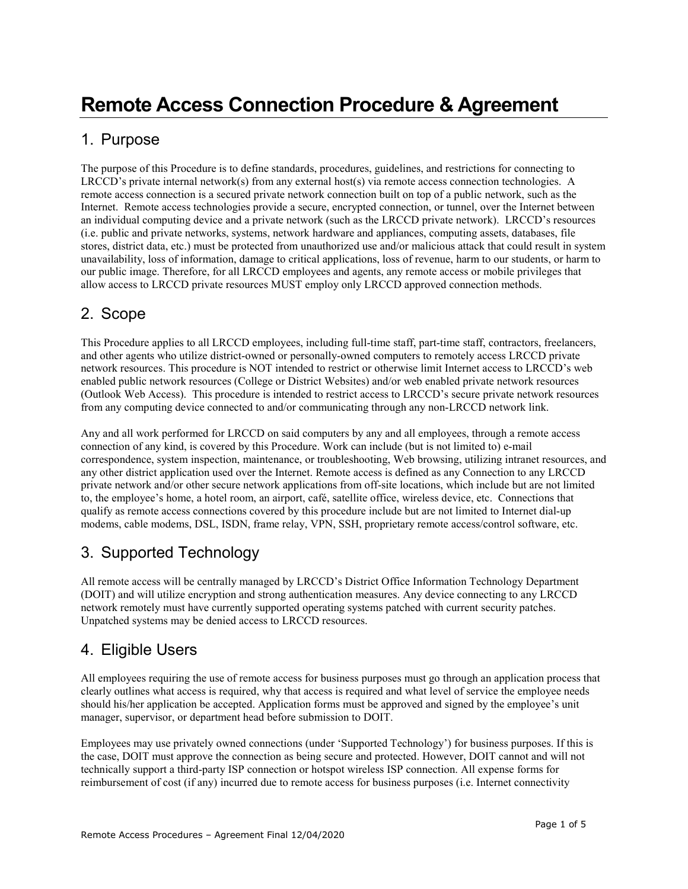#### 1. Purpose

The purpose of this Procedure is to define standards, procedures, guidelines, and restrictions for connecting to LRCCD's private internal network(s) from any external host(s) via remote access connection technologies. A remote access connection is a secured private network connection built on top of a public network, such as the Internet. Remote access technologies provide a secure, encrypted connection, or tunnel, over the Internet between an individual computing device and a private network (such as the LRCCD private network). LRCCD's resources (i.e. public and private networks, systems, network hardware and appliances, computing assets, databases, file stores, district data, etc.) must be protected from unauthorized use and/or malicious attack that could result in system unavailability, loss of information, damage to critical applications, loss of revenue, harm to our students, or harm to our public image. Therefore, for all LRCCD employees and agents, any remote access or mobile privileges that allow access to LRCCD private resources MUST employ only LRCCD approved connection methods.

# 2. Scope

This Procedure applies to all LRCCD employees, including full-time staff, part-time staff, contractors, freelancers, and other agents who utilize district-owned or personally-owned computers to remotely access LRCCD private network resources. This procedure is NOT intended to restrict or otherwise limit Internet access to LRCCD's web enabled public network resources (College or District Websites) and/or web enabled private network resources (Outlook Web Access). This procedure is intended to restrict access to LRCCD's secure private network resources from any computing device connected to and/or communicating through any non-LRCCD network link.

Any and all work performed for LRCCD on said computers by any and all employees, through a remote access connection of any kind, is covered by this Procedure. Work can include (but is not limited to) e-mail correspondence, system inspection, maintenance, or troubleshooting, Web browsing, utilizing intranet resources, and any other district application used over the Internet. Remote access is defined as any Connection to any LRCCD private network and/or other secure network applications from off-site locations, which include but are not limited to, the employee's home, a hotel room, an airport, café, satellite office, wireless device, etc. Connections that qualify as remote access connections covered by this procedure include but are not limited to Internet dial-up modems, cable modems, DSL, ISDN, frame relay, VPN, SSH, proprietary remote access/control software, etc.

# 3. Supported Technology

All remote access will be centrally managed by LRCCD's District Office Information Technology Department (DOIT) and will utilize encryption and strong authentication measures. Any device connecting to any LRCCD network remotely must have currently supported operating systems patched with current security patches. Unpatched systems may be denied access to LRCCD resources.

# 4. Eligible Users

All employees requiring the use of remote access for business purposes must go through an application process that clearly outlines what access is required, why that access is required and what level of service the employee needs should his/her application be accepted. Application forms must be approved and signed by the employee's unit manager, supervisor, or department head before submission to DOIT.

Employees may use privately owned connections (under 'Supported Technology') for business purposes. If this is the case, DOIT must approve the connection as being secure and protected. However, DOIT cannot and will not technically support a third-party ISP connection or hotspot wireless ISP connection. All expense forms for reimbursement of cost (if any) incurred due to remote access for business purposes (i.e. Internet connectivity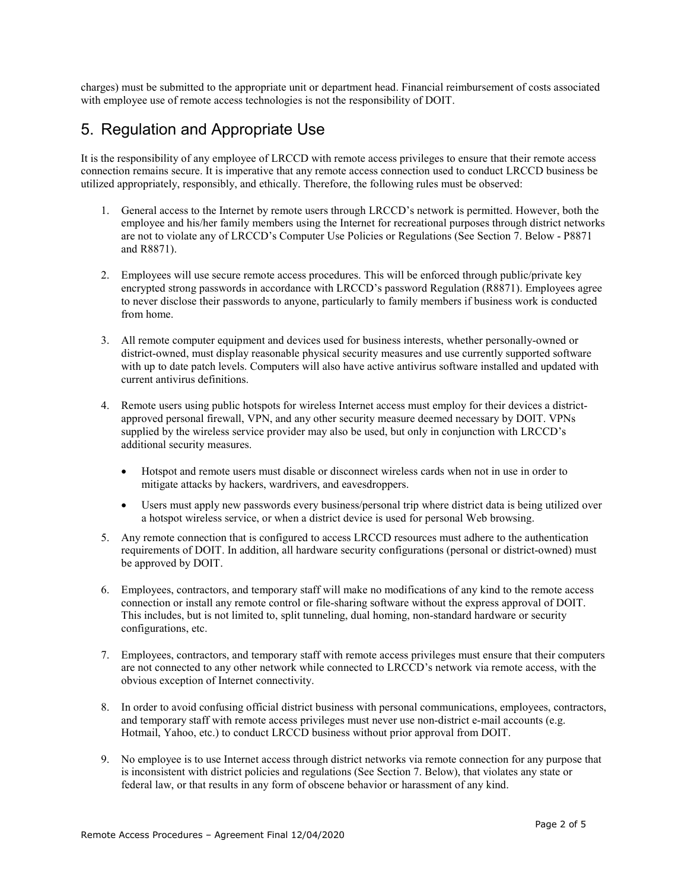charges) must be submitted to the appropriate unit or department head. Financial reimbursement of costs associated with employee use of remote access technologies is not the responsibility of DOIT.

#### 5. Regulation and Appropriate Use

It is the responsibility of any employee of LRCCD with remote access privileges to ensure that their remote access connection remains secure. It is imperative that any remote access connection used to conduct LRCCD business be utilized appropriately, responsibly, and ethically. Therefore, the following rules must be observed:

- 1. General access to the Internet by remote users through LRCCD's network is permitted. However, both the employee and his/her family members using the Internet for recreational purposes through district networks are not to violate any of LRCCD's Computer Use Policies or Regulations (See Section 7. Below - P8871 and R8871).
- 2. Employees will use secure remote access procedures. This will be enforced through public/private key encrypted strong passwords in accordance with LRCCD's password Regulation (R8871). Employees agree to never disclose their passwords to anyone, particularly to family members if business work is conducted from home.
- 3. All remote computer equipment and devices used for business interests, whether personally-owned or district-owned, must display reasonable physical security measures and use currently supported software with up to date patch levels. Computers will also have active antivirus software installed and updated with current antivirus definitions.
- 4. Remote users using public hotspots for wireless Internet access must employ for their devices a districtapproved personal firewall, VPN, and any other security measure deemed necessary by DOIT. VPNs supplied by the wireless service provider may also be used, but only in conjunction with LRCCD's additional security measures.
	- Hotspot and remote users must disable or disconnect wireless cards when not in use in order to mitigate attacks by hackers, wardrivers, and eavesdroppers.
	- Users must apply new passwords every business/personal trip where district data is being utilized over a hotspot wireless service, or when a district device is used for personal Web browsing.
- 5. Any remote connection that is configured to access LRCCD resources must adhere to the authentication requirements of DOIT. In addition, all hardware security configurations (personal or district-owned) must be approved by DOIT.
- 6. Employees, contractors, and temporary staff will make no modifications of any kind to the remote access connection or install any remote control or file-sharing software without the express approval of DOIT. This includes, but is not limited to, split tunneling, dual homing, non-standard hardware or security configurations, etc.
- 7. Employees, contractors, and temporary staff with remote access privileges must ensure that their computers are not connected to any other network while connected to LRCCD's network via remote access, with the obvious exception of Internet connectivity.
- 8. In order to avoid confusing official district business with personal communications, employees, contractors, and temporary staff with remote access privileges must never use non-district e-mail accounts (e.g. Hotmail, Yahoo, etc.) to conduct LRCCD business without prior approval from DOIT.
- 9. No employee is to use Internet access through district networks via remote connection for any purpose that is inconsistent with district policies and regulations (See Section 7. Below), that violates any state or federal law, or that results in any form of obscene behavior or harassment of any kind.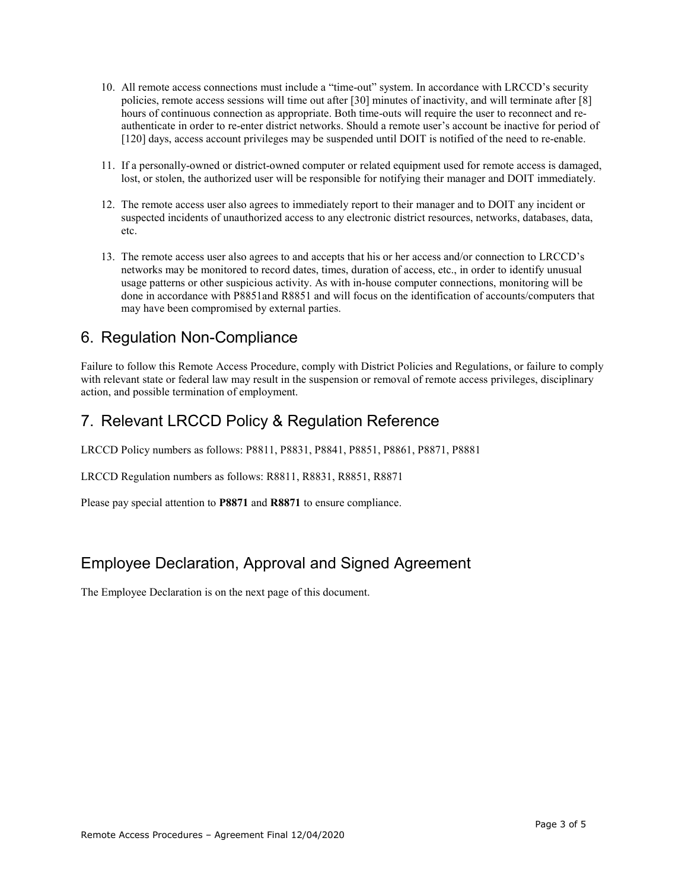- 10. All remote access connections must include a "time-out" system. In accordance with LRCCD's security policies, remote access sessions will time out after [30] minutes of inactivity, and will terminate after [8] hours of continuous connection as appropriate. Both time-outs will require the user to reconnect and reauthenticate in order to re-enter district networks. Should a remote user's account be inactive for period of [120] days, access account privileges may be suspended until DOIT is notified of the need to re-enable.
- 11. If a personally-owned or district-owned computer or related equipment used for remote access is damaged, lost, or stolen, the authorized user will be responsible for notifying their manager and DOIT immediately.
- 12. The remote access user also agrees to immediately report to their manager and to DOIT any incident or suspected incidents of unauthorized access to any electronic district resources, networks, databases, data, etc.
- 13. The remote access user also agrees to and accepts that his or her access and/or connection to LRCCD's networks may be monitored to record dates, times, duration of access, etc., in order to identify unusual usage patterns or other suspicious activity. As with in-house computer connections, monitoring will be done in accordance with P8851and R8851 and will focus on the identification of accounts/computers that may have been compromised by external parties.

#### 6. Regulation Non-Compliance

Failure to follow this Remote Access Procedure, comply with District Policies and Regulations, or failure to comply with relevant state or federal law may result in the suspension or removal of remote access privileges, disciplinary action, and possible termination of employment.

### 7. Relevant LRCCD Policy & Regulation Reference

LRCCD Policy numbers as follows: P8811, P8831, P8841, P8851, P8861, P8871, P8881

LRCCD Regulation numbers as follows: R8811, R8831, R8851, R8871

Please pay special attention to **P8871** and **R8871** to ensure compliance.

### Employee Declaration, Approval and Signed Agreement

The Employee Declaration is on the next page of this document.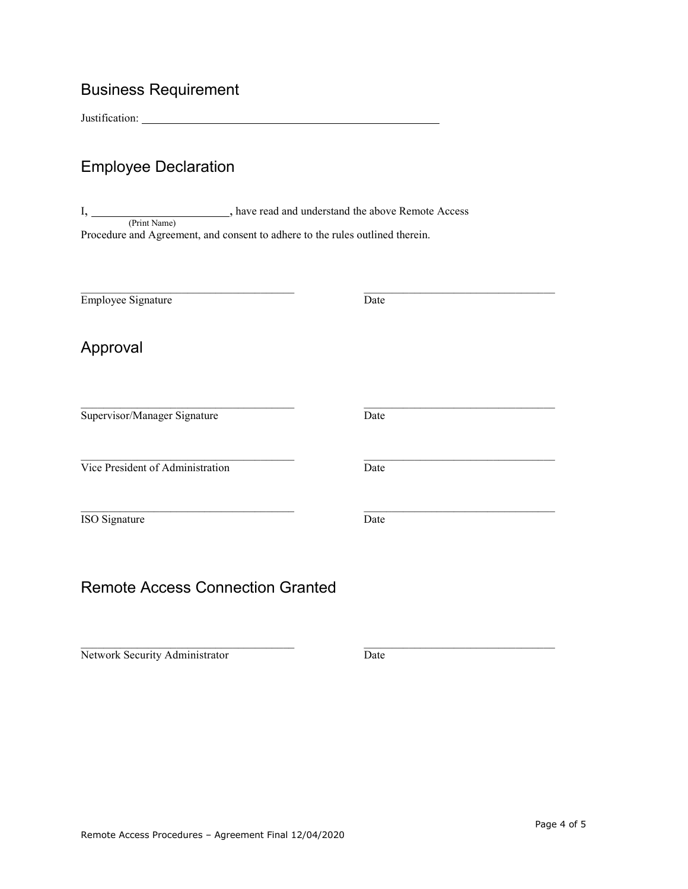# Business Requirement

Justification:

#### Employee Declaration

I, \_\_\_\_\_\_\_\_\_\_\_\_\_\_\_\_\_\_\_\_\_\_, have read and understand the above Remote Access (Print Name) Procedure and Agreement, and consent to adhere to the rules outlined therein.

\_\_\_\_\_\_\_\_\_\_\_\_\_\_\_\_\_\_\_\_\_\_\_\_\_\_\_\_\_\_\_\_\_\_\_\_\_\_ \_\_\_\_\_\_\_\_\_\_\_\_\_\_\_\_\_\_\_\_\_\_\_\_\_\_\_\_\_\_\_\_\_\_

Employee Signature Date

Date

Date

Date

\_\_\_\_\_\_\_\_\_\_\_\_\_\_\_\_\_\_\_\_\_\_\_\_\_\_\_\_\_\_\_\_\_\_

\_\_\_\_\_\_\_\_\_\_\_\_\_\_\_\_\_\_\_\_\_\_\_\_\_\_\_\_\_\_\_\_\_\_

\_\_\_\_\_\_\_\_\_\_\_\_\_\_\_\_\_\_\_\_\_\_\_\_\_\_\_\_\_\_\_\_\_\_

\_\_\_\_\_\_\_\_\_\_\_\_\_\_\_\_\_\_\_\_\_\_\_\_\_\_\_\_\_\_\_\_\_\_

# Approval

Supervisor/Manager Signature

\_\_\_\_\_\_\_\_\_\_\_\_\_\_\_\_\_\_\_\_\_\_\_\_\_\_\_\_\_\_\_\_\_\_\_\_\_\_

\_\_\_\_\_\_\_\_\_\_\_\_\_\_\_\_\_\_\_\_\_\_\_\_\_\_\_\_\_\_\_\_\_\_\_\_\_\_ Vice President of Administration

 $\overline{\phantom{a}}$  , and the set of the set of the set of the set of the set of the set of the set of the set of the set of the set of the set of the set of the set of the set of the set of the set of the set of the set of the s ISO Signature

#### Remote Access Connection Granted

 $\mathcal{L}_\text{max}$  and  $\mathcal{L}_\text{max}$  and  $\mathcal{L}_\text{max}$  and  $\mathcal{L}_\text{max}$ Network Security Administrator

Date

Remote Access Procedures – Agreement Final 12/04/2020